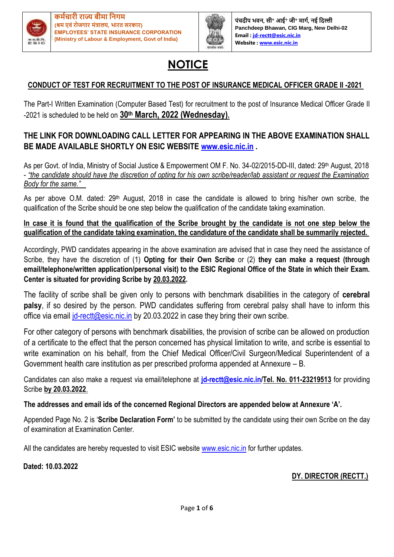



**पंचदीप भवि, सी॰ आई॰ जी॰ र्ागम, िई नदल्ली Panchdeep Bhawan, CIG Marg, New Delhi-02 Email [: jd-rectt@esic.nic.in](mailto:jd-rectt@esic.nic.in) Website [: www.esic.nic.in](http://www.esic.nic.in/)**

# **NOTICE**

# **CONDUCT OF TEST FOR RECRUITMENT TO THE POST OF INSURANCE MEDICAL OFFICER GRADE II -2021**

The Part-I Written Examination (Computer Based Test) for recruitment to the post of Insurance Medical Officer Grade II -2021 is scheduled to be held on **30th March, 2022 (Wednesday).**

## **THE LINK FOR DOWNLOADING CALL LETTER FOR APPEARING IN THE ABOVE EXAMINATION SHALL BE MADE AVAILABLE SHORTLY ON ESIC WEBSITE [www.esic.nic.in](http://www.esic.nic.in/) .**

As per Govt. of India, Ministry of Social Justice & Empowerment OM F. No. 34-02/2015-DD-III, dated: 29<sup>th</sup> August, 2018 - *"the candidate should have the discretion of opting for his own scribe/reader/lab assistant or request the Examination Body for the same."*

As per above O.M. dated: 29<sup>th</sup> August, 2018 in case the candidate is allowed to bring his/her own scribe, the qualification of the Scribe should be one step below the qualification of the candidate taking examination.

**In case it is found that the qualification of the Scribe brought by the candidate is not one step below the qualification of the candidate taking examination, the candidature of the candidate shall be summarily rejected.** 

Accordingly, PWD candidates appearing in the above examination are advised that in case they need the assistance of Scribe, they have the discretion of (1) **Opting for their Own Scribe** or (2) **they can make a request (through email/telephone/written application/personal visit) to the ESIC Regional Office of the State in which their Exam. Center is situated for providing Scribe by 20.03.2022.**

The facility of scribe shall be given only to persons with benchmark disabilities in the category of **cerebral palsy**, if so desired by the person. PWD candidates suffering from cerebral palsy shall have to inform this office via email *id-rectt@esic.nic.in* by 20.03.2022 in case they bring their own scribe.

For other category of persons with benchmark disabilities, the provision of scribe can be allowed on production of a certificate to the effect that the person concerned has physical limitation to write, and scribe is essential to write examination on his behalf, from the Chief Medical Officer/Civil Surgeon/Medical Superintendent of a Government health care institution as per prescribed proforma appended at Annexure – B.

Candidates can also make a request via email/telephone at **[jd-rectt@esic.nic.in/](mailto:jd-rectt@esic.nic.in)Tel. No. 011-23219513** for providing Scribe **by 20.03.2022**.

#### **The addresses and email ids of the concerned Regional Directors are appended below at Annexure 'A'.**

Appended Page No. 2 is '**Scribe Declaration Form'** to be submitted by the candidate using their own Scribe on the day of examination at Examination Center.

All the candidates are hereby requested to visit ESIC website [www.esic.nic.in](http://www.esic.nic.in/) for further updates.

**Dated: 10.03.2022**

**DY. DIRECTOR (RECTT.)**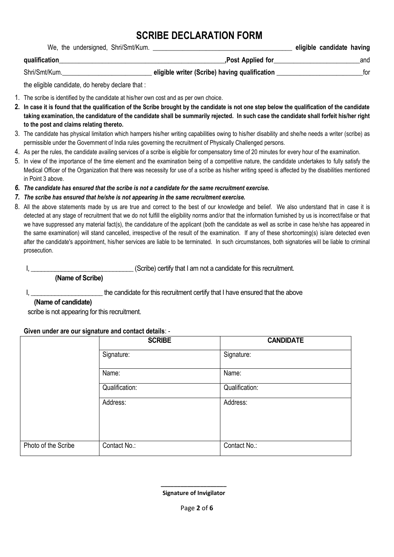# **SCRIBE DECLARATION FORM**

| We, the undersigned, Shri/Smt/Kum. |                                               | eligible candidate having |     |
|------------------------------------|-----------------------------------------------|---------------------------|-----|
| qualification                      | ,Post Applied for                             |                           | and |
| Shri/Smt/Kum.                      | eligible writer (Scribe) having qualification |                           | tor |

the eligible candidate, do hereby declare that :

- 1. The scribe is identified by the candidate at his/her own cost and as per own choice.
- **2. In case it is found that the qualification of the Scribe brought by the candidate is not one step below the qualification of the candidate taking examination, the candidature of the candidate shall be summarily rejected. In such case the candidate shall forfeit his/her right to the post and claims relating thereto.**
- 3. The candidate has physical limitation which hampers his/her writing capabilities owing to his/her disability and she/he needs a writer (scribe) as permissible under the Government of India rules governing the recruitment of Physically Challenged persons.
- 4. As per the rules, the candidate availing services of a scribe is eligible for compensatory time of 20 minutes for every hour of the examination.
- 5. In view of the importance of the time element and the examination being of a competitive nature, the candidate undertakes to fully satisfy the Medical Officer of the Organization that there was necessity for use of a scribe as his/her writing speed is affected by the disabilities mentioned in Point 3 above.
- *6. The candidate has ensured that the scribe is not a candidate for the same recruitment exercise.*
- *7. The scribe has ensured that he/she is not appearing in the same recruitment exercise.*
- 8. All the above statements made by us are true and correct to the best of our knowledge and belief. We also understand that in case it is detected at any stage of recruitment that we do not fulfill the eligibility norms and/or that the information furnished by us is incorrect/false or that we have suppressed any material fact(s), the candidature of the applicant (both the candidate as well as scribe in case he/she has appeared in the same examination) will stand cancelled, irrespective of the result of the examination. If any of these shortcoming(s) is/are detected even after the candidate's appointment, his/her services are liable to be terminated. In such circumstances, both signatories will be liable to criminal prosecution.

I, \_\_\_\_\_\_\_\_\_\_\_\_\_\_\_\_\_\_\_\_\_\_\_\_\_\_\_\_\_\_ (Scribe) certify that I am not a candidate for this recruitment.

 **(Name of Scribe)**

I, \_\_\_\_\_\_\_\_\_\_\_\_\_\_\_\_\_\_\_\_\_\_\_\_\_\_\_\_\_the candidate for this recruitment certify that I have ensured that the above

#### **(Name of candidate)**

scribe is not appearing for this recruitment.

#### **Given under are our signature and contact details**: -

|                     | <b>SCRIBE</b>  | <b>CANDIDATE</b> |
|---------------------|----------------|------------------|
|                     | Signature:     | Signature:       |
|                     | Name:          | Name:            |
|                     | Qualification: | Qualification:   |
|                     | Address:       | Address:         |
| Photo of the Scribe | Contact No.:   | Contact No.:     |

 **Signature of Invigilator**

 **\_\_\_\_\_\_\_\_\_\_\_\_\_\_\_\_\_\_\_\_**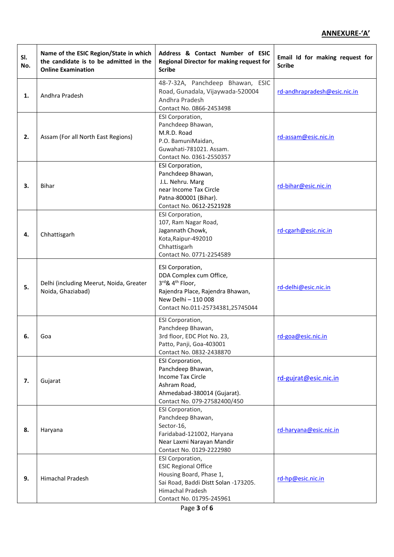#### **ANNEXURE-'A'**

| SI.<br>No. | Name of the ESIC Region/State in which<br>the candidate is to be admitted in the<br><b>Online Examination</b> | Address & Contact Number of ESIC<br>Regional Director for making request for<br><b>Scribe</b>                                                                             | Email Id for making request for<br><b>Scribe</b> |
|------------|---------------------------------------------------------------------------------------------------------------|---------------------------------------------------------------------------------------------------------------------------------------------------------------------------|--------------------------------------------------|
| 1.         | Andhra Pradesh                                                                                                | 48-7-32A, Panchdeep Bhawan, ESIC<br>Road, Gunadala, Vijaywada-520004<br>Andhra Pradesh<br>Contact No. 0866-2453498                                                        | rd-andhrapradesh@esic.nic.in                     |
| 2.         | Assam (For all North East Regions)                                                                            | <b>ESI Corporation,</b><br>Panchdeep Bhawan,<br>M.R.D. Road<br>P.O. BamuniMaidan,<br>Guwahati-781021. Assam.<br>Contact No. 0361-2550357                                  | rd-assam@esic.nic.in                             |
| 3.         | <b>Bihar</b>                                                                                                  | <b>ESI Corporation,</b><br>Panchdeep Bhawan,<br>J.L. Nehru. Marg<br>near Income Tax Circle<br>Patna-800001 (Bihar).<br>Contact No. 0612-2521928                           | rd-bihar@esic.nic.in                             |
| 4.         | Chhattisgarh                                                                                                  | ESI Corporation,<br>107, Ram Nagar Road,<br>Jagannath Chowk,<br>Kota, Raipur-492010<br>Chhattisgarh<br>Contact No. 0771-2254589                                           | rd-cgarh@esic.nic.in                             |
| 5.         | Delhi (including Meerut, Noida, Greater<br>Noida, Ghaziabad)                                                  | ESI Corporation,<br>DDA Complex cum Office,<br>3rd& 4 <sup>th</sup> Floor,<br>Rajendra Place, Rajendra Bhawan,<br>New Delhi - 110 008<br>Contact No.011-25734381,25745044 | rd-delhi@esic.nic.in                             |
| 6.         | Goa                                                                                                           | ESI Corporation,<br>Panchdeep Bhawan,<br>3rd floor, EDC Plot No. 23,<br>Patto, Panji, Goa-403001<br>Contact No. 0832-2438870                                              | rd-goa@esic.nic.in                               |
| 7.         | Gujarat                                                                                                       | <b>ESI Corporation,</b><br>Panchdeep Bhawan,<br>Income Tax Circle<br>Ashram Road,<br>Ahmedabad-380014 (Gujarat).<br>Contact No. 079-27582400/450                          | rd-gujrat@esic.nic.in                            |
| 8.         | Haryana                                                                                                       | <b>ESI Corporation,</b><br>Panchdeep Bhawan,<br>Sector-16,<br>Faridabad-121002, Haryana<br>Near Laxmi Narayan Mandir<br>Contact No. 0129-2222980                          | rd-haryana@esic.nic.in                           |
| 9.         | <b>Himachal Pradesh</b>                                                                                       | <b>ESI Corporation,</b><br><b>ESIC Regional Office</b><br>Housing Board, Phase 1,<br>Sai Road, Baddi Distt Solan -173205.<br>Himachal Pradesh<br>Contact No. 01795-245961 | rd-hp@esic.nic.in                                |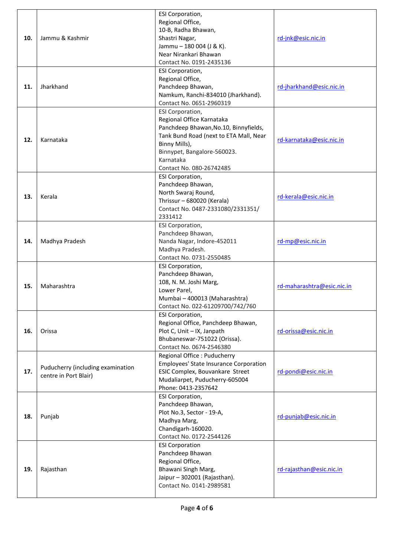| 10.<br>11. | Jammu & Kashmir<br>Jharkhand                               | <b>ESI Corporation,</b><br>Regional Office,<br>10-B, Radha Bhawan,<br>Shastri Nagar,<br>Jammu - 180 004 (J & K).<br>Near Nirankari Bhawan<br>Contact No. 0191-2435136<br><b>ESI Corporation,</b><br>Regional Office,<br>Panchdeep Bhawan, | rd-jnk@esic.nic.in<br>rd-jharkhand@esic.nic.in |
|------------|------------------------------------------------------------|-------------------------------------------------------------------------------------------------------------------------------------------------------------------------------------------------------------------------------------------|------------------------------------------------|
|            |                                                            | Namkum, Ranchi-834010 (Jharkhand).<br>Contact No. 0651-2960319                                                                                                                                                                            |                                                |
| 12.        | Karnataka                                                  | ESI Corporation,<br>Regional Office Karnataka<br>Panchdeep Bhawan, No.10, Binnyfields,<br>Tank Bund Road (next to ETA Mall, Near<br>Binny Mills),<br>Binnypet, Bangalore-560023.<br>Karnataka<br>Contact No. 080-26742485                 | rd-karnataka@esic.nic.in                       |
| 13.        | Kerala                                                     | <b>ESI Corporation,</b><br>Panchdeep Bhawan,<br>North Swaraj Round,<br>Thrissur - 680020 (Kerala)<br>Contact No. 0487-2331080/2331351/<br>2331412                                                                                         | rd-kerala@esic.nic.in                          |
| 14.        | Madhya Pradesh                                             | <b>ESI Corporation,</b><br>Panchdeep Bhawan,<br>Nanda Nagar, Indore-452011<br>Madhya Pradesh.<br>Contact No. 0731-2550485                                                                                                                 | rd-mp@esic.nic.in                              |
| 15.        | Maharashtra                                                | <b>ESI Corporation,</b><br>Panchdeep Bhawan,<br>108, N. M. Joshi Marg,<br>Lower Parel,<br>Mumbai - 400013 (Maharashtra)<br>Contact No. 022-61209700/742/760                                                                               | rd-maharashtra@esic.nic.in                     |
| 16.        | Orissa                                                     | <b>ESI Corporation,</b><br>Regional Office, Panchdeep Bhawan,<br>Plot C, Unit - IX, Janpath<br>Bhubaneswar-751022 (Orissa).<br>Contact No. 0674-2546380                                                                                   | rd-orissa@esic.nic.in                          |
| 17.        | Puducherry (including examination<br>centre in Port Blair) | Regional Office : Puducherry<br><b>Employees' State Insurance Corporation</b><br>ESIC Complex, Bouvankare Street<br>Mudaliarpet, Puducherry-605004<br>Phone: 0413-2357642                                                                 | rd-pondi@esic.nic.in                           |
| 18.        | Punjab                                                     | <b>ESI Corporation,</b><br>Panchdeep Bhawan,<br>Plot No.3, Sector - 19-A,<br>Madhya Marg,<br>Chandigarh-160020.<br>Contact No. 0172-2544126                                                                                               | rd-punjab@esic.nic.in                          |
| 19.        | Rajasthan                                                  | <b>ESI Corporation</b><br>Panchdeep Bhawan<br>Regional Office,<br>Bhawani Singh Marg,<br>Jaipur - 302001 (Rajasthan).<br>Contact No. 0141-2989581                                                                                         | rd-rajasthan@esic.nic.in                       |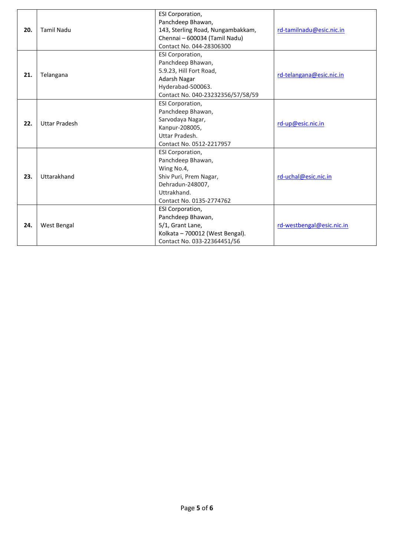| 20. | <b>Tamil Nadu</b>    | <b>ESI Corporation,</b><br>Panchdeep Bhawan,<br>143, Sterling Road, Nungambakkam,<br>Chennai - 600034 (Tamil Nadu)<br>Contact No. 044-28306300    | rd-tamilnadu@esic.nic.in  |
|-----|----------------------|---------------------------------------------------------------------------------------------------------------------------------------------------|---------------------------|
| 21. | Telangana            | <b>ESI Corporation,</b><br>Panchdeep Bhawan,<br>5.9.23, Hill Fort Road,<br>Adarsh Nagar<br>Hyderabad-500063.<br>Contact No. 040-23232356/57/58/59 | rd-telangana@esic.nic.in  |
| 22. | <b>Uttar Pradesh</b> | ESI Corporation,<br>Panchdeep Bhawan,<br>Sarvodaya Nagar,<br>Kanpur-208005,<br>Uttar Pradesh.<br>Contact No. 0512-2217957                         | rd-up@esic.nic.in         |
| 23. | Uttarakhand          | ESI Corporation,<br>Panchdeep Bhawan,<br>Wing No.4,<br>Shiv Puri, Prem Nagar,<br>Dehradun-248007,<br>Uttrakhand.<br>Contact No. 0135-2774762      | rd-uchal@esic.nic.in      |
| 24. | West Bengal          | <b>ESI Corporation,</b><br>Panchdeep Bhawan,<br>5/1, Grant Lane,<br>Kolkata - 700012 (West Bengal).<br>Contact No. 033-22364451/56                | rd-westbengal@esic.nic.in |